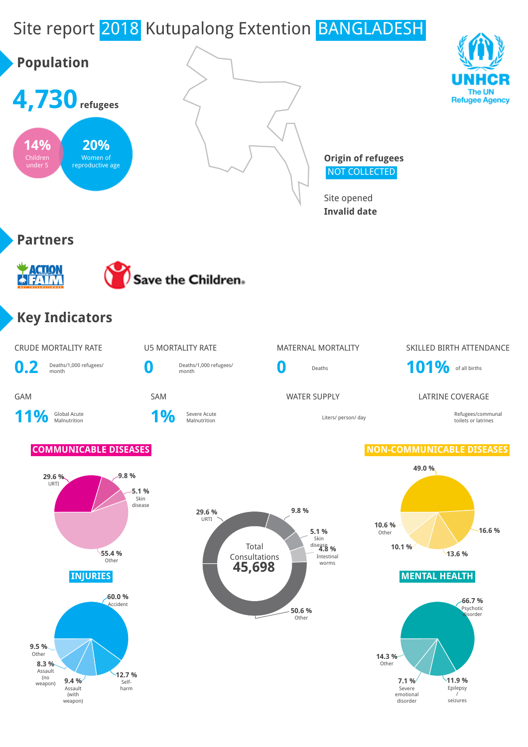# Site report 2018 Kutupalong Extention BANGLADESH

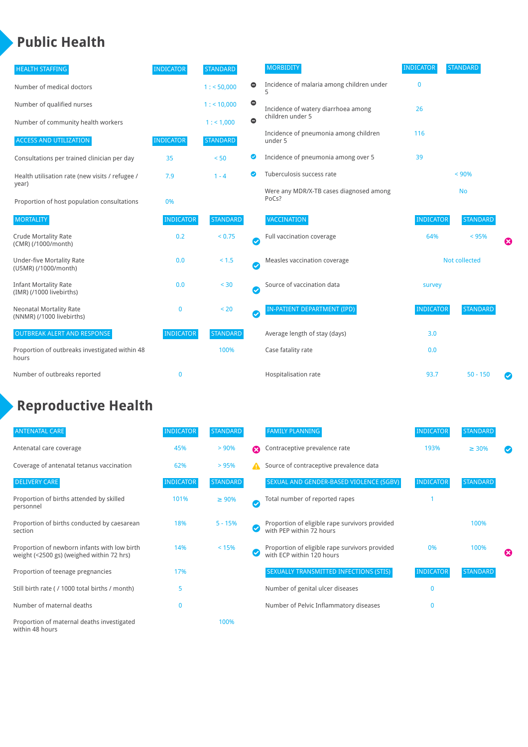### **Public Health**

| <b>HEALTH STAFFING</b>                                      | <b>INDICATOR</b> | <b>STANDARD</b> |           | <b>MORBIDITY</b>                                 | <b>INDICATOR</b>     | <b>STANDARD</b> |  |
|-------------------------------------------------------------|------------------|-----------------|-----------|--------------------------------------------------|----------------------|-----------------|--|
| Number of medical doctors                                   |                  | 1: 50,000       | 0         | Incidence of malaria among children under        | $\bf{0}$             |                 |  |
| Number of qualified nurses                                  |                  | 1:10,000        | $\bullet$ | Incidence of watery diarrhoea among              | 26                   |                 |  |
| Number of community health workers                          |                  | 1: 1,000        | $\bullet$ | children under 5                                 |                      |                 |  |
| <b>ACCESS AND UTILIZATION</b>                               | <b>INDICATOR</b> | <b>STANDARD</b> |           | Incidence of pneumonia among children<br>under 5 | 116                  |                 |  |
| Consultations per trained clinician per day                 | 35               | < 50            | ◕         | Incidence of pneumonia among over 5              | 39                   |                 |  |
| Health utilisation rate (new visits / refugee /             | 7.9              | $1 - 4$         | ◙         | Tuberculosis success rate                        |                      | < 90%           |  |
| year)<br>Proportion of host population consultations        | 0%               |                 |           | Were any MDR/X-TB cases diagnosed among<br>PoCs? |                      | <b>No</b>       |  |
| <b>MORTALITY</b>                                            | <b>INDICATOR</b> | <b>STANDARD</b> |           | <b>VACCINATION</b>                               | <b>INDICATOR</b>     | <b>STANDARD</b> |  |
| <b>Crude Mortality Rate</b><br>(CMR) (/1000/month)          | 0.2              | < 0.75          | $\bullet$ | Full vaccination coverage                        | 64%                  | < 95%<br>⊠      |  |
| <b>Under-five Mortality Rate</b><br>(U5MR) (/1000/month)    | 0.0              | $< 1.5$         | $\bullet$ | Measles vaccination coverage                     | <b>Not collected</b> |                 |  |
| <b>Infant Mortality Rate</b><br>(IMR) (/1000 livebirths)    | 0.0              | $< 30$          | Ø         | Source of vaccination data                       | survey               |                 |  |
| <b>Neonatal Mortality Rate</b><br>(NNMR) (/1000 livebirths) | 0                | < 20            | $\bullet$ | IN-PATIENT DEPARTMENT (IPD)                      | <b>INDICATOR</b>     | <b>STANDARD</b> |  |
| <b>OUTBREAK ALERT AND RESPONSE</b>                          | <b>INDICATOR</b> | <b>STANDARD</b> |           | Average length of stay (days)                    | 3.0                  |                 |  |
| Proportion of outbreaks investigated within 48<br>hours     |                  | 100%            |           | Case fatality rate                               | 0.0                  |                 |  |
| Number of outbreaks reported                                | $\mathbf 0$      |                 |           | Hospitalisation rate                             | 93.7                 | $50 - 150$      |  |

# **Reproductive Health**

| <b>ANTENATAL CARE</b>                                                                     | <b>INDICATOR</b> | <b>STANDARD</b> |                       | <b>FAMILY PLANNING</b>                                                      | <b>INDICATOR</b> | <b>STANDARD</b> |   |
|-------------------------------------------------------------------------------------------|------------------|-----------------|-----------------------|-----------------------------------------------------------------------------|------------------|-----------------|---|
| Antenatal care coverage                                                                   | 45%              | > 90%           | Ω                     | Contraceptive prevalence rate                                               | 193%             | $\geq 30\%$     |   |
| Coverage of antenatal tetanus vaccination                                                 | 62%              | >95%            | А                     | Source of contraceptive prevalence data                                     |                  |                 |   |
| <b>DELIVERY CARE</b>                                                                      | <b>INDICATOR</b> | <b>STANDARD</b> |                       | SEXUAL AND GENDER-BASED VIOLENCE (SGBV)                                     | <b>INDICATOR</b> | STANDARD        |   |
| Proportion of births attended by skilled<br>personnel                                     | 101%             | $\geq 90\%$     | $\boldsymbol{\sigma}$ | Total number of reported rapes                                              |                  |                 |   |
| Proportion of births conducted by caesarean<br>section                                    | 18%              | $5 - 15%$       |                       | Proportion of eligible rape survivors provided<br>with PEP within 72 hours  |                  | 100%            |   |
| Proportion of newborn infants with low birth<br>weight (<2500 gs) (weighed within 72 hrs) | 14%              | < 15%           |                       | Proportion of eligible rape survivors provided<br>with ECP within 120 hours | 0%               | 100%            | ೞ |
| Proportion of teenage pregnancies                                                         | 17%              |                 |                       | <b>SEXUALLY TRANSMITTED INFECTIONS (STIS)</b>                               | <b>INDICATOR</b> | <b>STANDARD</b> |   |
| Still birth rate (/ 1000 total births / month)                                            | 5                |                 |                       | Number of genital ulcer diseases                                            | $\mathbf{0}$     |                 |   |
| Number of maternal deaths                                                                 | $\mathbf{0}$     |                 |                       | Number of Pelvic Inflammatory diseases                                      | $\mathbf{0}$     |                 |   |
| Proportion of maternal deaths investigated<br>within 48 hours                             |                  | 100%            |                       |                                                                             |                  |                 |   |